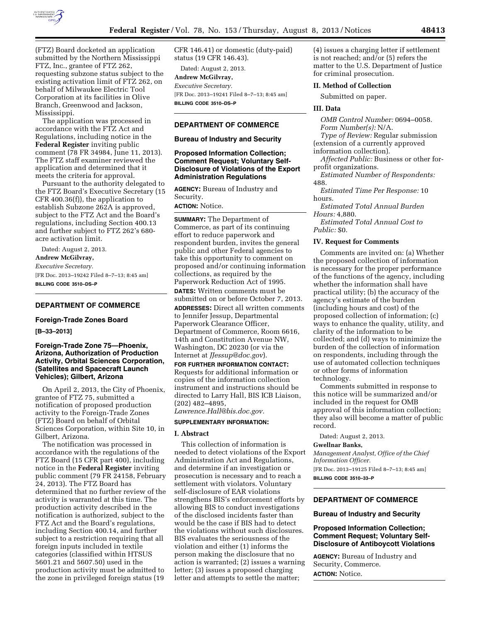

(FTZ) Board docketed an application submitted by the Northern Mississippi FTZ, Inc., grantee of FTZ 262, requesting subzone status subject to the existing activation limit of FTZ 262, on behalf of Milwaukee Electric Tool Corporation at its facilities in Olive Branch, Greenwood and Jackson, Mississippi.

The application was processed in accordance with the FTZ Act and Regulations, including notice in the **Federal Register** inviting public comment (78 FR 34984, June 11, 2013). The FTZ staff examiner reviewed the application and determined that it meets the criteria for approval.

Pursuant to the authority delegated to the FTZ Board's Executive Secretary (15 CFR 400.36(f)), the application to establish Subzone 262A is approved, subject to the FTZ Act and the Board's regulations, including Section 400.13 and further subject to FTZ 262's 680 acre activation limit.

Dated: August 2, 2013. **Andrew McGilvray,**  *Executive Secretary.*  [FR Doc. 2013–19242 Filed 8–7–13; 8:45 am] **BILLING CODE 3510–DS–P** 

# **DEPARTMENT OF COMMERCE**

#### **Foreign-Trade Zones Board**

#### **[B–33–2013]**

# **Foreign-Trade Zone 75—Phoenix, Arizona, Authorization of Production Activity, Orbital Sciences Corporation, (Satellites and Spacecraft Launch Vehicles); Gilbert, Arizona**

On April 2, 2013, the City of Phoenix, grantee of FTZ 75, submitted a notification of proposed production activity to the Foreign-Trade Zones (FTZ) Board on behalf of Orbital Sciences Corporation, within Site 10, in Gilbert, Arizona.

The notification was processed in accordance with the regulations of the FTZ Board (15 CFR part 400), including notice in the **Federal Register** inviting public comment (79 FR 24158, February 24, 2013). The FTZ Board has determined that no further review of the activity is warranted at this time. The production activity described in the notification is authorized, subject to the FTZ Act and the Board's regulations, including Section 400.14, and further subject to a restriction requiring that all foreign inputs included in textile categories (classified within HTSUS 5601.21 and 5607.50) used in the production activity must be admitted to the zone in privileged foreign status (19

CFR 146.41) or domestic (duty-paid) status (19 CFR 146.43).

Dated: August 2, 2013. **Andrew McGilvray,**  *Executive Secretary.*  [FR Doc. 2013–19241 Filed 8–7–13; 8:45 am] **BILLING CODE 3510–DS–P** 

#### **DEPARTMENT OF COMMERCE**

#### **Bureau of Industry and Security**

## **Proposed Information Collection; Comment Request; Voluntary Self-Disclosure of Violations of the Export Administration Regulations**

**AGENCY:** Bureau of Industry and Security.

# **ACTION:** Notice.

**SUMMARY:** The Department of Commerce, as part of its continuing effort to reduce paperwork and respondent burden, invites the general public and other Federal agencies to take this opportunity to comment on proposed and/or continuing information collections, as required by the Paperwork Reduction Act of 1995. **DATES:** Written comments must be submitted on or before October 7, 2013.

**ADDRESSES:** Direct all written comments to Jennifer Jessup, Departmental Paperwork Clearance Officer, Department of Commerce, Room 6616, 14th and Constitution Avenue NW, Washington, DC 20230 (or via the Internet at *[JJessup@doc.gov](mailto:JJessup@doc.gov)*).

**FOR FURTHER INFORMATION CONTACT:**  Requests for additional information or copies of the information collection instrument and instructions should be directed to Larry Hall, BIS ICB Liaison, (202) 482–4895, *[Lawrence.Hall@bis.doc.gov.](mailto:Lawrence.Hall@bis.doc.gov)* 

# **SUPPLEMENTARY INFORMATION:**

#### **I. Abstract**

This collection of information is needed to detect violations of the Export Administration Act and Regulations, and determine if an investigation or prosecution is necessary and to reach a settlement with violators. Voluntary self-disclosure of EAR violations strengthens BIS's enforcement efforts by allowing BIS to conduct investigations of the disclosed incidents faster than would be the case if BIS had to detect the violations without such disclosures. BIS evaluates the seriousness of the violation and either (1) informs the person making the disclosure that no action is warranted; (2) issues a warning letter; (3) issues a proposed charging letter and attempts to settle the matter;

(4) issues a charging letter if settlement is not reached; and/or (5) refers the matter to the U.S. Department of Justice for criminal prosecution.

#### **II. Method of Collection**

Submitted on paper.

#### **III. Data**

*OMB Control Number:* 0694–0058. *Form Number(s):* N/A.

*Type of Review:* Regular submission (extension of a currently approved

information collection).

*Affected Public:* Business or other forprofit organizations.

*Estimated Number of Respondents:*  488.

*Estimated Time Per Response:* 10 hours.

*Estimated Total Annual Burden Hours:* 4,880.

*Estimated Total Annual Cost to Public:* \$0.

#### **IV. Request for Comments**

Comments are invited on: (a) Whether the proposed collection of information is necessary for the proper performance of the functions of the agency, including whether the information shall have practical utility; (b) the accuracy of the agency's estimate of the burden (including hours and cost) of the proposed collection of information; (c) ways to enhance the quality, utility, and clarity of the information to be collected; and (d) ways to minimize the burden of the collection of information on respondents, including through the use of automated collection techniques or other forms of information technology.

Comments submitted in response to this notice will be summarized and/or included in the request for OMB approval of this information collection; they also will become a matter of public record.

Dated: August 2, 2013.

#### **Gwellnar Banks,**

*Management Analyst, Office of the Chief Information Officer.*  [FR Doc. 2013–19125 Filed 8–7–13; 8:45 am] **BILLING CODE 3510–33–P** 

#### **DEPARTMENT OF COMMERCE**

#### **Bureau of Industry and Security**

### **Proposed Information Collection; Comment Request; Voluntary Self-Disclosure of Antiboycott Violations**

**AGENCY:** Bureau of Industry and Security, Commerce. **ACTION:** Notice.